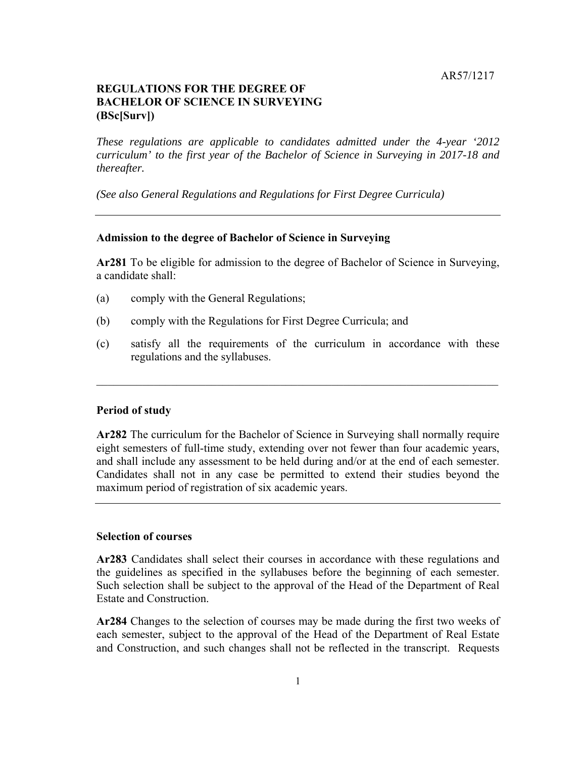# **REGULATIONS FOR THE DEGREE OF BACHELOR OF SCIENCE IN SURVEYING (BSc[Surv])**

*These regulations are applicable to candidates admitted under the 4-year '2012 curriculum' to the first year of the Bachelor of Science in Surveying in 2017-18 and thereafter.* 

*(See also General Regulations and Regulations for First Degree Curricula)* 

## **Admission to the degree of Bachelor of Science in Surveying**

**Ar281** To be eligible for admission to the degree of Bachelor of Science in Surveying, a candidate shall:

- (a) comply with the General Regulations;
- (b) comply with the Regulations for First Degree Curricula; and
- $(c)$ satisfy all the requirements of the curriculum in accordance with these regulations and the syllabuses.

## **Period of study**

**Ar282** The curriculum for the Bachelor of Science in Surveying shall normally require eight semesters of full-time study, extending over not fewer than four academic years, and shall include any assessment to be held during and/or at the end of each semester. Candidates shall not in any case be permitted to extend their studies beyond the maximum period of registration of six academic years.

# **Selection of courses**

**Ar283** Candidates shall select their courses in accordance with these regulations and the guidelines as specified in the syllabuses before the beginning of each semester. Such selection shall be subject to the approval of the Head of the Department of Real Estate and Construction.

 **Ar284** Changes to the selection of courses may be made during the first two weeks of each semester, subject to the approval of the Head of the Department of Real Estate and Construction, and such changes shall not be reflected in the transcript. Requests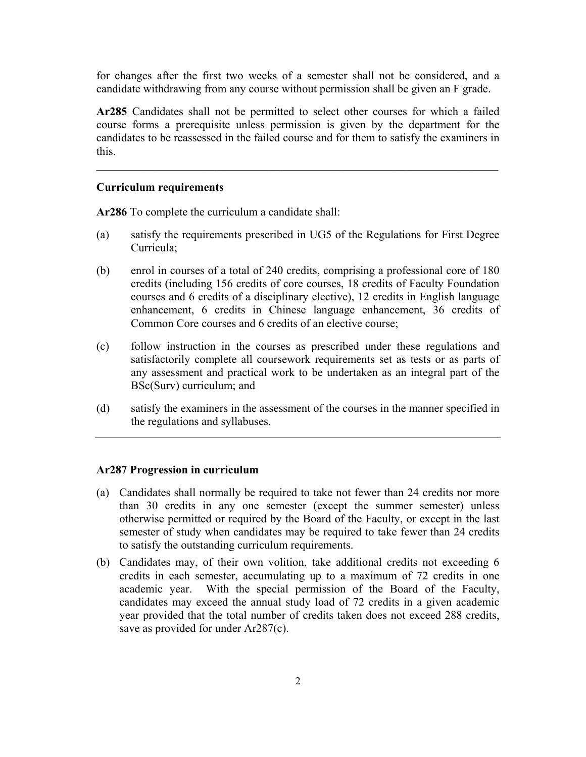for changes after the first two weeks of a semester shall not be considered, and a candidate withdrawing from any course without permission shall be given an F grade.

**Ar285** Candidates shall not be permitted to select other courses for which a failed course forms a prerequisite unless permission is given by the department for the candidates to be reassessed in the failed course and for them to satisfy the examiners in this.

## **Curriculum requirements**

**Ar286** To complete the curriculum a candidate shall:

- (a) satisfy the requirements prescribed in UG5 of the Regulations for First Degree Curricula;
- courses and 6 credits of a disciplinary elective), 12 credits in English language (b) enrol in courses of a total of 240 credits, comprising a professional core of 180 credits (including 156 credits of core courses, 18 credits of Faculty Foundation enhancement, 6 credits in Chinese language enhancement, 36 credits of Common Core courses and 6 credits of an elective course;
- (c) follow instruction in the courses as prescribed under these regulations and satisfactorily complete all coursework requirements set as tests or as parts of any assessment and practical work to be undertaken as an integral part of the BSc(Surv) curriculum; and
- (d) satisfy the examiners in the assessment of the courses in the manner specified in the regulations and syllabuses.

## **Ar287 Progression in curriculum**

- otherwise permitted or required by the Board of the Faculty, or except in the last (a) Candidates shall normally be required to take not fewer than 24 credits nor more than 30 credits in any one semester (except the summer semester) unless semester of study when candidates may be required to take fewer than 24 credits to satisfy the outstanding curriculum requirements.
- academic year. With the special permission of the Board of the Faculty, (b) Candidates may, of their own volition, take additional credits not exceeding 6 credits in each semester, accumulating up to a maximum of 72 credits in one candidates may exceed the annual study load of 72 credits in a given academic year provided that the total number of credits taken does not exceed 288 credits, save as provided for under Ar287(c).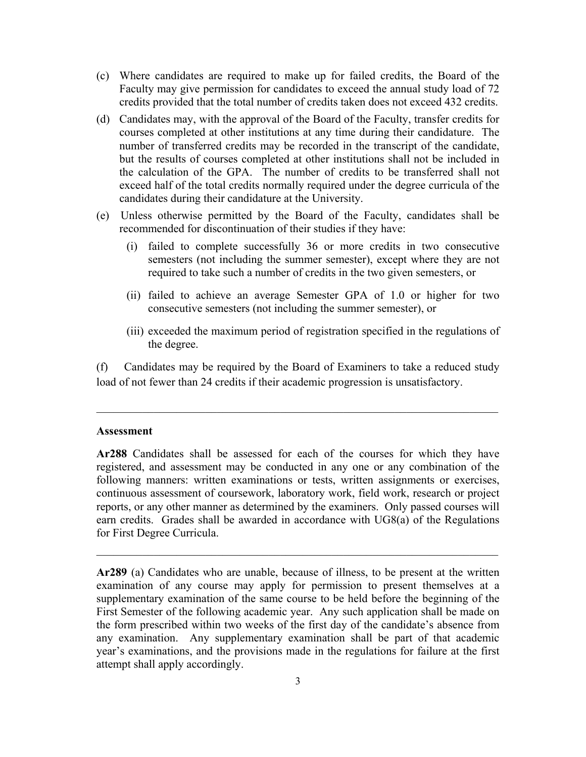- (c) Where candidates are required to make up for failed credits, the Board of the Faculty may give permission for candidates to exceed the annual study load of 72 credits provided that the total number of credits taken does not exceed 432 credits.
- (d) Candidates may, with the approval of the Board of the Faculty, transfer credits for courses completed at other institutions at any time during their candidature. The number of transferred credits may be recorded in the transcript of the candidate, but the results of courses completed at other institutions shall not be included in the calculation of the GPA. The number of credits to be transferred shall not exceed half of the total credits normally required under the degree curricula of the candidates during their candidature at the University.
- (e) Unless otherwise permitted by the Board of the Faculty, candidates shall be recommended for discontinuation of their studies if they have:
	- semesters (not including the summer semester), except where they are not (i) failed to complete successfully 36 or more credits in two consecutive required to take such a number of credits in the two given semesters, or
	- (ii) failed to achieve an average Semester GPA of 1.0 or higher for two consecutive semesters (not including the summer semester), or
	- (iii) exceeded the maximum period of registration specified in the regulations of the degree.

 Candidates may be required by the Board of Examiners to take a reduced study load of not fewer than 24 credits if their academic progression is unsatisfactory.

#### **Assessment**

 earn credits. Grades shall be awarded in accordance with UG8(a) of the Regulations **Ar288** Candidates shall be assessed for each of the courses for which they have registered, and assessment may be conducted in any one or any combination of the following manners: written examinations or tests, written assignments or exercises, continuous assessment of coursework, laboratory work, field work, research or project reports, or any other manner as determined by the examiners. Only passed courses will for First Degree Curricula.

 **Ar289** (a) Candidates who are unable, because of illness, to be present at the written the form prescribed within two weeks of the first day of the candidate's absence from year's examinations, and the provisions made in the regulations for failure at the first examination of any course may apply for permission to present themselves at a supplementary examination of the same course to be held before the beginning of the First Semester of the following academic year. Any such application shall be made on any examination. Any supplementary examination shall be part of that academic attempt shall apply accordingly.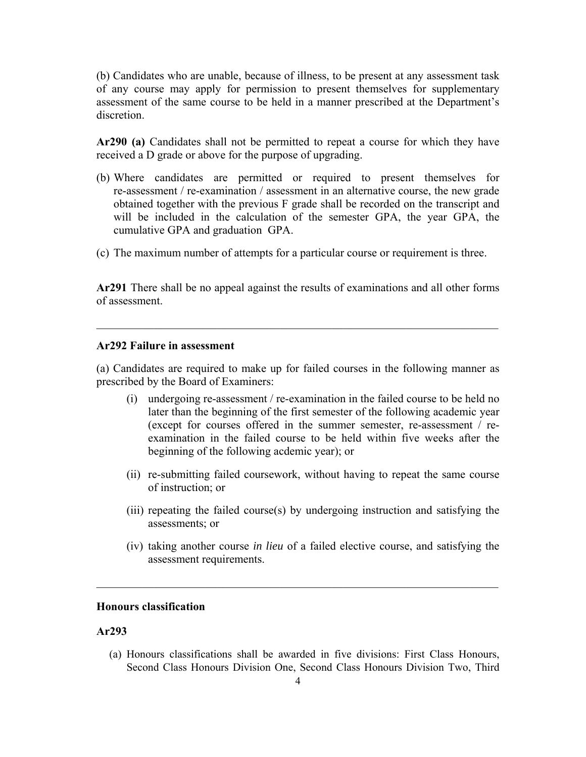(b) Candidates who are unable, because of illness, to be present at any assessment task of any course may apply for permission to present themselves for supplementary assessment of the same course to be held in a manner prescribed at the Department's discretion.

**Ar290 (a)** Candidates shall not be permitted to repeat a course for which they have received a D grade or above for the purpose of upgrading.

- (b) Where candidates are permitted or required to present themselves for will be included in the calculation of the semester GPA, the year GPA, the re-assessment / re-examination / assessment in an alternative course, the new grade obtained together with the previous F grade shall be recorded on the transcript and cumulative GPA and graduation GPA.
- (c) The maximum number of attempts for a particular course or requirement is three.

**Ar291** There shall be no appeal against the results of examinations and all other forms of assessment.

#### **Ar292 Failure in assessment**

(a) Candidates are required to make up for failed courses in the following manner as prescribed by the Board of Examiners:

- later than the beginning of the first semester of the following academic year (i) undergoing re-assessment / re-examination in the failed course to be held no (except for courses offered in the summer semester, re-assessment / reexamination in the failed course to be held within five weeks after the beginning of the following acdemic year); or
- (ii) re-submitting failed coursework, without having to repeat the same course of instruction; or
- (iii) repeating the failed course(s) by undergoing instruction and satisfying the assessments; or
- (iv) taking another course *in lieu* of a failed elective course, and satisfying the assessment requirements.

# **Honours classification**

## **Ar293**

(a) Honours classifications shall be awarded in five divisions: First Class Honours, Second Class Honours Division One, Second Class Honours Division Two, Third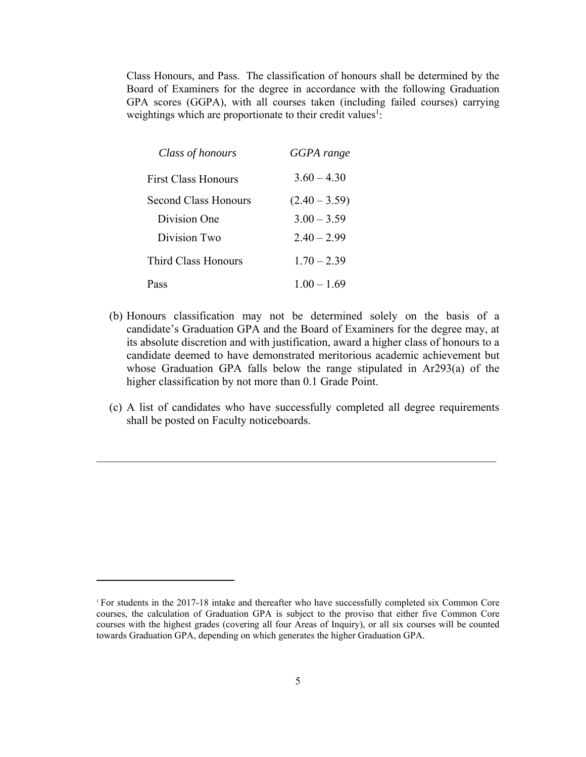Class Honours, and Pass. The classification of honours shall be determined by the Board of Examiners for the degree in accordance with the following Graduation GPA scores (GGPA), with all courses taken (including failed courses) carrying weightings which are proportionate to their credit values<sup>1</sup>:

| Class of honours            | GGPA range      |
|-----------------------------|-----------------|
| <b>First Class Honours</b>  | $3.60 - 4.30$   |
| <b>Second Class Honours</b> | $(2.40 - 3.59)$ |
| Division One                | $3.00 - 3.59$   |
| Division Two                | $2.40 - 2.99$   |
| Third Class Honours         | $1.70 - 2.39$   |
| Pass                        | $1.00 - 1.69$   |

- (b) Honours classification may not be determined solely on the basis of a candidate's Graduation GPA and the Board of Examiners for the degree may, at its absolute discretion and with justification, award a higher class of honours to a candidate deemed to have demonstrated meritorious academic achievement but whose Graduation GPA falls below the range stipulated in Ar293(a) of the higher classification by not more than 0.1 Grade Point.
- (c) A list of candidates who have successfully completed all degree requirements shall be posted on Faculty noticeboards.

 $\mathcal{L}_\mathcal{L} = \{ \mathcal{L}_\mathcal{L} = \{ \mathcal{L}_\mathcal{L} = \{ \mathcal{L}_\mathcal{L} = \{ \mathcal{L}_\mathcal{L} = \{ \mathcal{L}_\mathcal{L} = \{ \mathcal{L}_\mathcal{L} = \{ \mathcal{L}_\mathcal{L} = \{ \mathcal{L}_\mathcal{L} = \{ \mathcal{L}_\mathcal{L} = \{ \mathcal{L}_\mathcal{L} = \{ \mathcal{L}_\mathcal{L} = \{ \mathcal{L}_\mathcal{L} = \{ \mathcal{L}_\mathcal{L} = \{ \mathcal{L}_\mathcal{$ 

 <sup>1</sup> For students in the 2017-18 intake and thereafter who have successfully completed six Common Core courses, the calculation of Graduation GPA is subject to the proviso that either five Common Core courses with the highest grades (covering all four Areas of Inquiry), or all six courses will be counted towards Graduation GPA, depending on which generates the higher Graduation GPA.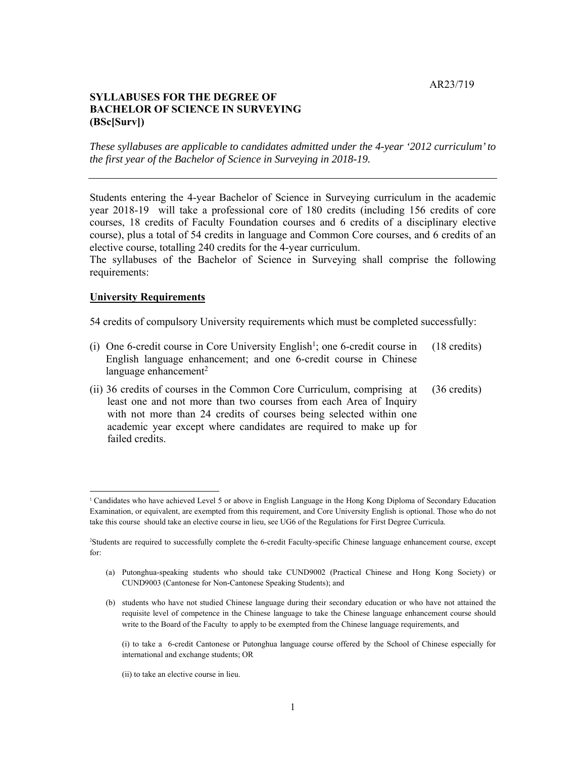AR23/719

# **BACHELOR OF SCIENCE IN SURVEYING SYLLABUSES FOR THE DEGREE OF (BSc[Surv])**

*These syllabuses are applicable to candidates admitted under the 4-year '2012 curriculum' to the first year of the Bachelor of Science in Surveying in 2018-19.* 

 year 2018-19 will take a professional core of 180 credits (including 156 credits of core courses, 18 credits of Faculty Foundation courses and 6 credits of a disciplinary elective course), plus a total of 54 credits in language and Common Core courses, and 6 credits of an Students entering the 4-year Bachelor of Science in Surveying curriculum in the academic elective course, totalling 240 credits for the 4-year curriculum.

 The syllabuses of the Bachelor of Science in Surveying shall comprise the following requirements:

## **University Requirements**

54 credits of compulsory University requirements which must be completed successfully:

- (i) One 6-credit course in Core University English<sup>1</sup>; one 6-credit course in  $(18 \text{ credits})$  English language enhancement; and one 6-credit course in Chinese language enhancement $2$
- (ii) 36 credits of courses in the Common Core Curriculum, comprising at (36 credits) least one and not more than two courses from each Area of Inquiry with not more than 24 credits of courses being selected within one academic year except where candidates are required to make up for failed credits.

(ii) to take an elective course in lieu.

 <sup>1</sup> Candidates who have achieved Level 5 or above in English Language in the Hong Kong Diploma of Secondary Education Examination, or equivalent, are exempted from this requirement, and Core University English is optional. Those who do not take this course should take an elective course in lieu, see UG6 of the Regulations for First Degree Curricula.

 2 Students are required to successfully complete the 6-credit Faculty-specific Chinese language enhancement course, except for:

 (a) Putonghua-speaking students who should take CUND9002 (Practical Chinese and Hong Kong Society) or CUND9003 (Cantonese for Non-Cantonese Speaking Students); and

 (b) students who have not studied Chinese language during their secondary education or who have not attained the requisite level of competence in the Chinese language to take the Chinese language enhancement course should write to the Board of the Faculty to apply to be exempted from the Chinese language requirements, and

 (i) to take a 6-credit Cantonese or Putonghua language course offered by the School of Chinese especially for international and exchange students; OR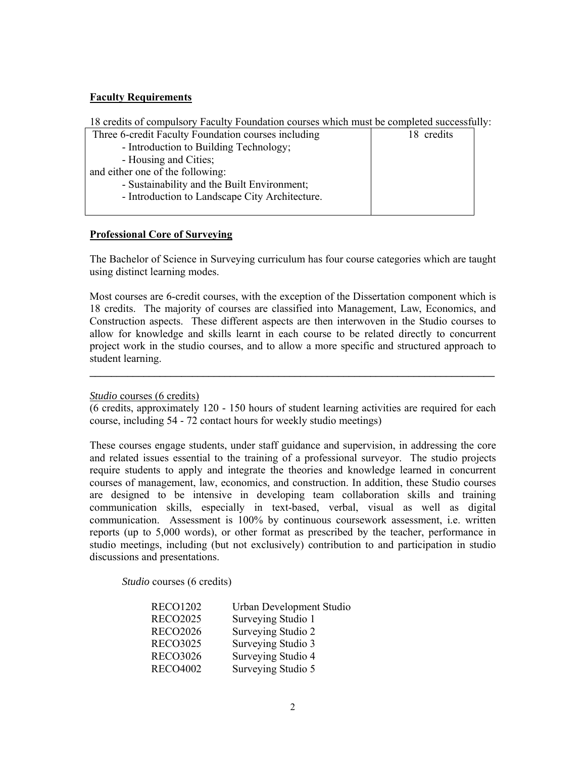# **Faculty Requirements**

| 18 credits of compulsory Faculty Foundation courses which must be completed successfully: |            |
|-------------------------------------------------------------------------------------------|------------|
| Three 6-credit Faculty Foundation courses including                                       | 18 credits |
| - Introduction to Building Technology;                                                    |            |
| - Housing and Cities;                                                                     |            |

and either one of the following:

- Sustainability and the Built Environment;
- Introduction to Landscape City Architecture.

# **Professional Core of Surveying**

The Bachelor of Science in Surveying curriculum has four course categories which are taught using distinct learning modes.

 Most courses are 6-credit courses, with the exception of the Dissertation component which is 18 credits. The majority of courses are classified into Management, Law, Economics, and Construction aspects. These different aspects are then interwoven in the Studio courses to project work in the studio courses, and to allow a more specific and structured approach to allow for knowledge and skills learnt in each course to be related directly to concurrent student learning.

## *Studio* courses (6 credits)

 (6 credits, approximately 120 - 150 hours of student learning activities are required for each course, including 54 - 72 contact hours for weekly studio meetings)

**\_\_\_\_\_\_\_\_\_\_\_\_\_\_\_\_\_\_\_\_\_\_\_\_\_\_\_\_\_\_\_\_\_\_\_\_\_\_\_\_\_\_\_\_\_\_\_\_\_\_\_\_\_\_\_\_\_\_\_\_\_\_\_\_\_\_\_\_\_\_\_\_\_\_\_**

 These courses engage students, under staff guidance and supervision, in addressing the core require students to apply and integrate the theories and knowledge learned in concurrent are designed to be intensive in developing team collaboration skills and training communication skills, especially in text-based, verbal, visual as well as digital reports (up to 5,000 words), or other format as prescribed by the teacher, performance in studio meetings, including (but not exclusively) contribution to and participation in studio and related issues essential to the training of a professional surveyor. The studio projects courses of management, law, economics, and construction. In addition, these Studio courses communication. Assessment is 100% by continuous coursework assessment, i.e. written discussions and presentations.

*Studio* courses (6 credits)

| <b>RECO1202</b> | Urban Development Studio |
|-----------------|--------------------------|
| <b>RECO2025</b> | Surveying Studio 1       |
| <b>RECO2026</b> | Surveying Studio 2       |
| <b>RECO3025</b> | Surveying Studio 3       |
| <b>RECO3026</b> | Surveying Studio 4       |
| <b>RECO4002</b> | Surveying Studio 5       |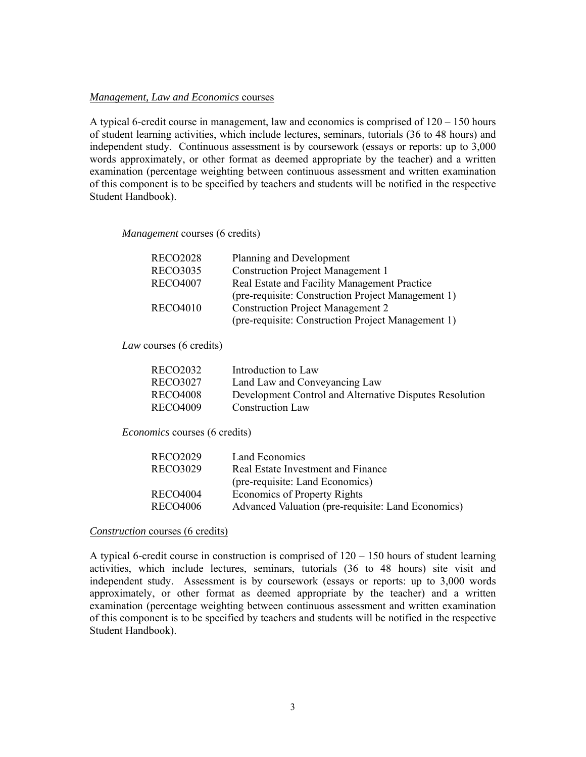#### *Management, Law and Economics* courses

 A typical 6-credit course in management, law and economics is comprised of 120 – 150 hours of student learning activities, which include lectures, seminars, tutorials (36 to 48 hours) and words approximately, or other format as deemed appropriate by the teacher) and a written independent study. Continuous assessment is by coursework (essays or reports: up to 3,000 examination (percentage weighting between continuous assessment and written examination of this component is to be specified by teachers and students will be notified in the respective Student Handbook).

*Management* courses (6 credits)

| <b>RECO2028</b> | Planning and Development                           |
|-----------------|----------------------------------------------------|
| <b>RECO3035</b> | <b>Construction Project Management 1</b>           |
| <b>RECO4007</b> | Real Estate and Facility Management Practice       |
|                 | (pre-requisite: Construction Project Management 1) |
| <b>RECO4010</b> | <b>Construction Project Management 2</b>           |
|                 | (pre-requisite: Construction Project Management 1) |

#### *Law* courses (6 credits)

| <b>RECO2032</b> | Introduction to Law                                     |
|-----------------|---------------------------------------------------------|
| RECO3027        | Land Law and Conveyancing Law                           |
| <b>RECO4008</b> | Development Control and Alternative Disputes Resolution |
| RECO4009        | <b>Construction Law</b>                                 |

*Economics* courses (6 credits)

| RECO2029        | Land Economics                                     |
|-----------------|----------------------------------------------------|
| <b>RECO3029</b> | Real Estate Investment and Finance                 |
|                 | (pre-requisite: Land Economics)                    |
| <b>RECO4004</b> | <b>Economics of Property Rights</b>                |
| <b>RECO4006</b> | Advanced Valuation (pre-requisite: Land Economics) |
|                 |                                                    |

#### *Construction* courses (6 credits)

 activities, which include lectures, seminars, tutorials (36 to 48 hours) site visit and independent study. Assessment is by coursework (essays or reports: up to 3,000 words approximately, or other format as deemed appropriate by the teacher) and a written A typical 6-credit course in construction is comprised of  $120 - 150$  hours of student learning examination (percentage weighting between continuous assessment and written examination of this component is to be specified by teachers and students will be notified in the respective Student Handbook).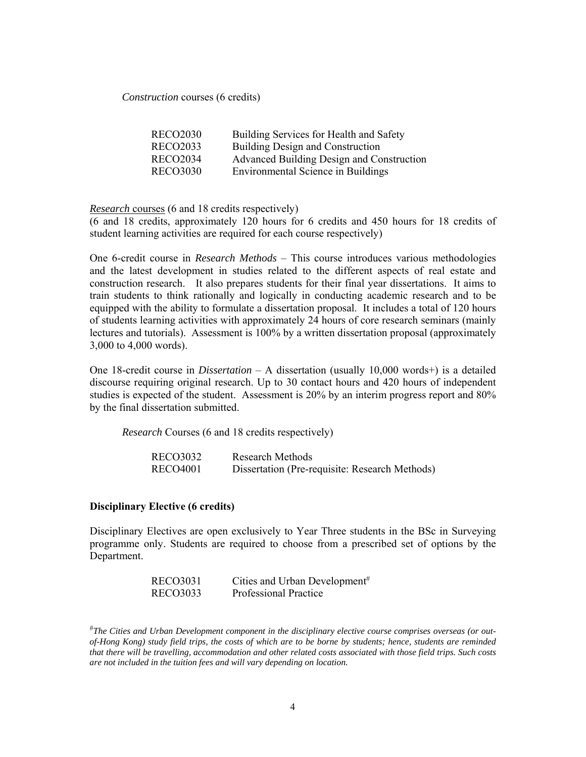*Construction* courses (6 credits)

| <b>RECO2030</b> | Building Services for Health and Safety   |
|-----------------|-------------------------------------------|
| <b>RECO2033</b> | Building Design and Construction          |
| <b>RECO2034</b> | Advanced Building Design and Construction |
| <b>RECO3030</b> | <b>Environmental Science in Buildings</b> |

*Research* courses (6 and 18 credits respectively)

 (6 and 18 credits, approximately 120 hours for 6 credits and 450 hours for 18 credits of student learning activities are required for each course respectively)

 One 6-credit course in *Research Methods* – This course introduces various methodologies and the latest development in studies related to the different aspects of real estate and construction research. It also prepares students for their final year dissertations. It aims to train students to think rationally and logically in conducting academic research and to be equipped with the ability to formulate a dissertation proposal. It includes a total of 120 hours of students learning activities with approximately 24 hours of core research seminars (mainly lectures and tutorials). Assessment is 100% by a written dissertation proposal (approximately 3,000 to 4,000 words).

 One 18-credit course in *Dissertation* – A dissertation (usually 10,000 words+) is a detailed studies is expected of the student. Assessment is 20% by an interim progress report and 80% discourse requiring original research. Up to 30 contact hours and 420 hours of independent by the final dissertation submitted.

*Research* Courses (6 and 18 credits respectively)

| RECO3032        | Research Methods                               |
|-----------------|------------------------------------------------|
| <b>RECO4001</b> | Dissertation (Pre-requisite: Research Methods) |

#### **Disciplinary Elective (6 credits)**

 Disciplinary Electives are open exclusively to Year Three students in the BSc in Surveying programme only. Students are required to choose from a prescribed set of options by the Department.

| <b>RECO3031</b> | Cities and Urban Development <sup>#</sup> |
|-----------------|-------------------------------------------|
| <b>RECO3033</b> | <b>Professional Practice</b>              |

 *are not included in the tuition fees and will vary depending on location.*  #*The Cities and Urban Development component in the disciplinary elective course comprises overseas (or outof-Hong Kong) study field trips, the costs of which are to be borne by students; hence, students are reminded that there will be travelling, accommodation and other related costs associated with those field trips. Such costs*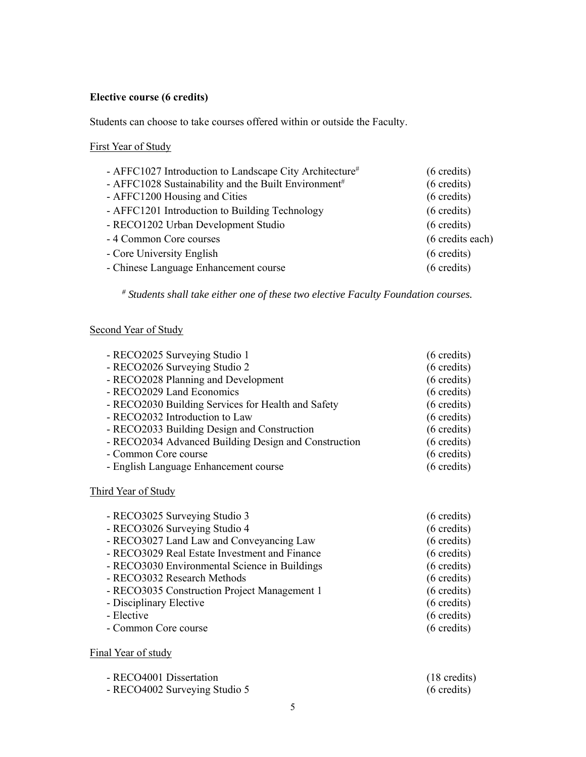# **Elective course (6 credits)**

Students can choose to take courses offered within or outside the Faculty.

# First Year of Study

| - AFFC1027 Introduction to Landscape City Architecture#          | $(6 \text{ credits})$ |
|------------------------------------------------------------------|-----------------------|
| - AFFC1028 Sustainability and the Built Environment <sup>#</sup> | $(6 \text{ credits})$ |
| - AFFC1200 Housing and Cities                                    | $(6 \text{ credits})$ |
| - AFFC1201 Introduction to Building Technology                   | $(6 \text{ credits})$ |
| - RECO1202 Urban Development Studio                              | $(6 \text{ credits})$ |
| - 4 Common Core courses                                          | (6 credits each)      |
| - Core University English                                        | $(6 \text{ credits})$ |
| - Chinese Language Enhancement course                            | $(6 \text{ credits})$ |

*# Students shall take either one of these two elective Faculty Foundation courses.* 

# Second Year of Study

| - RECO2025 Surveying Studio 1                        | $(6 \text{ credits})$ |
|------------------------------------------------------|-----------------------|
| - RECO2026 Surveying Studio 2                        | $(6 \text{ credits})$ |
| - RECO2028 Planning and Development                  | $(6 \text{ credits})$ |
| - RECO2029 Land Economics                            | $(6 \text{ credits})$ |
| - RECO2030 Building Services for Health and Safety   | $(6 \text{ credits})$ |
| - RECO2032 Introduction to Law                       | $(6 \text{ credits})$ |
| - RECO2033 Building Design and Construction          | $(6 \text{ credits})$ |
| - RECO2034 Advanced Building Design and Construction | $(6 \text{ credits})$ |
| - Common Core course                                 | $(6 \text{ credits})$ |
| - English Language Enhancement course                | $(6 \text{ credits})$ |
|                                                      |                       |

Third Year of Study

| - RECO3025 Surveying Studio 3                 | $(6 \text{ credits})$ |
|-----------------------------------------------|-----------------------|
| - RECO3026 Surveying Studio 4                 | $(6 \text{ credits})$ |
| - RECO3027 Land Law and Conveyancing Law      | $(6 \text{ credits})$ |
| - RECO3029 Real Estate Investment and Finance | $(6 \text{ credits})$ |
| - RECO3030 Environmental Science in Buildings | $(6 \text{ credits})$ |
| - RECO3032 Research Methods                   | $(6 \text{ credits})$ |
| - RECO3035 Construction Project Management 1  | $(6 \text{ credits})$ |
| - Disciplinary Elective                       | $(6 \text{ credits})$ |
| - Elective                                    | $(6 \text{ credits})$ |
| - Common Core course                          | $(6 \text{ credits})$ |
|                                               |                       |

Final Year of study

| - RECO4001 Dissertation       | $(18 \text{ credits})$ |
|-------------------------------|------------------------|
| - RECO4002 Surveying Studio 5 | $(6 \text{ credits})$  |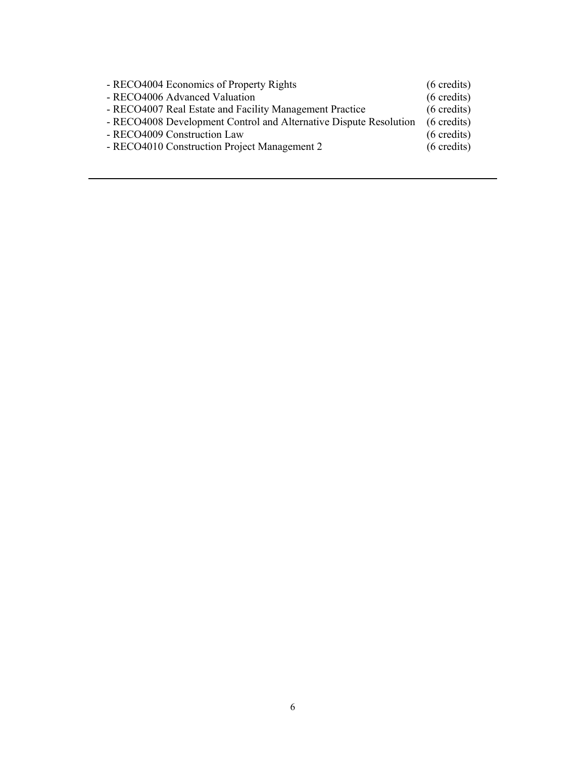| - RECO4004 Economics of Property Rights                           | $(6 \text{ credits})$ |
|-------------------------------------------------------------------|-----------------------|
| - RECO4006 Advanced Valuation                                     | $(6 \text{ credits})$ |
| - RECO4007 Real Estate and Facility Management Practice           | $(6 \text{ credits})$ |
| - RECO4008 Development Control and Alternative Dispute Resolution | $(6 \text{ credits})$ |
| - RECO4009 Construction Law                                       | $(6 \text{ credits})$ |
| - RECO4010 Construction Project Management 2                      | $(6 \text{ credits})$ |
|                                                                   |                       |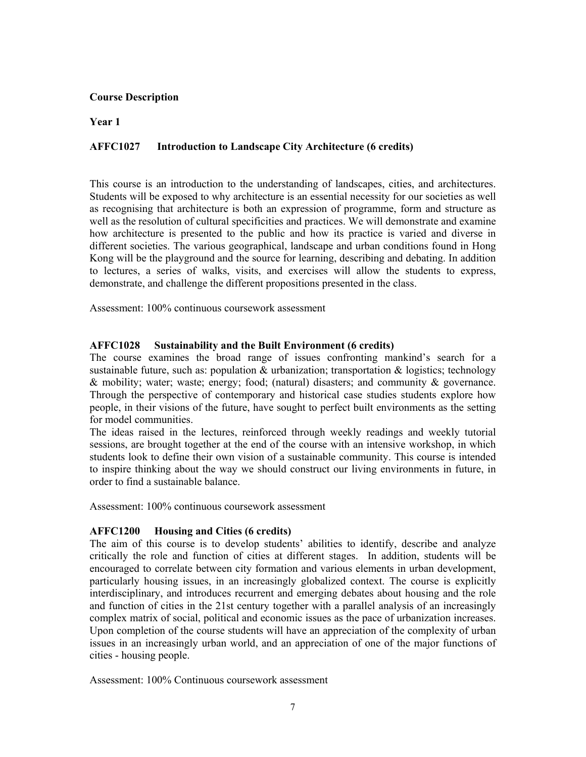## **Course Description**

**Year 1** 

#### **AFFC1027 AFFC1027 Introduction to Landscape City Architecture (6 credits)**

 This course is an introduction to the understanding of landscapes, cities, and architectures. Students will be exposed to why architecture is an essential necessity for our societies as well as recognising that architecture is both an expression of programme, form and structure as how architecture is presented to the public and how its practice is varied and diverse in Kong will be the playground and the source for learning, describing and debating. In addition to lectures, a series of walks, visits, and exercises will allow the students to express, well as the resolution of cultural specificities and practices. We will demonstrate and examine different societies. The various geographical, landscape and urban conditions found in Hong demonstrate, and challenge the different propositions presented in the class.

Assessment: 100% continuous coursework assessment

## **AFFC1028 Sustainability and the Built Environment (6 credits)**

 & mobility; water; waste; energy; food; (natural) disasters; and community & governance. people, in their visions of the future, have sought to perfect built environments as the setting The course examines the broad range of issues confronting mankind's search for a sustainable future, such as: population & urbanization; transportation  $\&$  logistics; technology Through the perspective of contemporary and historical case studies students explore how for model communities.

 The ideas raised in the lectures, reinforced through weekly readings and weekly tutorial sessions, are brought together at the end of the course with an intensive workshop, in which students look to define their own vision of a sustainable community. This course is intended to inspire thinking about the way we should construct our living environments in future, in order to find a sustainable balance.

Assessment: 100% continuous coursework assessment

## **AFFC1200 Housing and Cities (6 credits)**

 The aim of this course is to develop students' abilities to identify, describe and analyze critically the role and function of cities at different stages. In addition, students will be encouraged to correlate between city formation and various elements in urban development, particularly housing issues, in an increasingly globalized context. The course is explicitly interdisciplinary, and introduces recurrent and emerging debates about housing and the role and function of cities in the 21st century together with a parallel analysis of an increasingly complex matrix of social, political and economic issues as the pace of urbanization increases. Upon completion of the course students will have an appreciation of the complexity of urban issues in an increasingly urban world, and an appreciation of one of the major functions of cities - housing people.

Assessment: 100% Continuous coursework assessment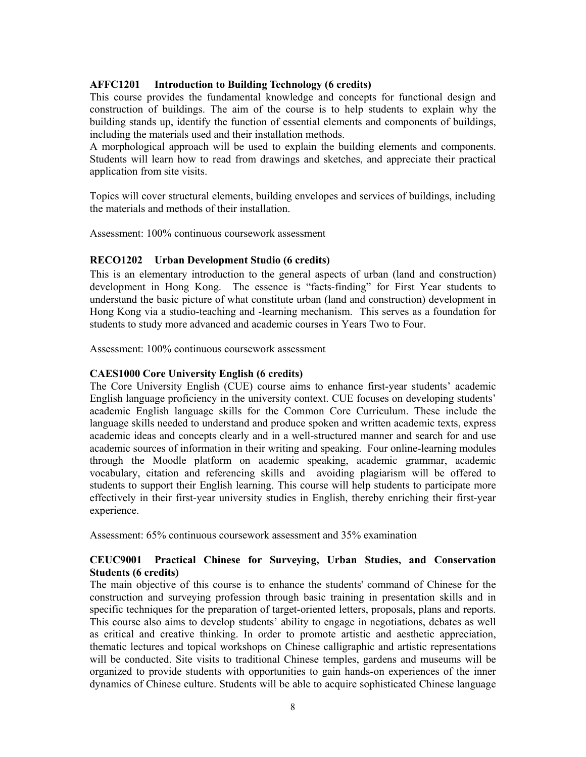# **AFFC1201 Introduction to Building Technology (6 credits)**

 construction of buildings. The aim of the course is to help students to explain why the building stands up, identify the function of essential elements and components of buildings, This course provides the fundamental knowledge and concepts for functional design and including the materials used and their installation methods.

 A morphological approach will be used to explain the building elements and components. Students will learn how to read from drawings and sketches, and appreciate their practical application from site visits.

Topics will cover structural elements, building envelopes and services of buildings, including the materials and methods of their installation.

Assessment: 100% continuous coursework assessment

# **RECO1202 Urban Development Studio (6 credits)**

 This is an elementary introduction to the general aspects of urban (land and construction) development in Hong Kong. The essence is "facts-finding" for First Year students to understand the basic picture of what constitute urban (land and construction) development in Hong Kong via a studio-teaching and -learning mechanism. This serves as a foundation for students to study more advanced and academic courses in Years Two to Four.

Assessment: 100% continuous coursework assessment

## **CAES1000 Core University English (6 credits)**

 The Core University English (CUE) course aims to enhance first-year students' academic English language proficiency in the university context. CUE focuses on developing students' academic English language skills for the Common Core Curriculum. These include the language skills needed to understand and produce spoken and written academic texts, express academic ideas and concepts clearly and in a well-structured manner and search for and use through the Moodle platform on academic speaking, academic grammar, academic vocabulary, citation and referencing skills and avoiding plagiarism will be offered to students to support their English learning. This course will help students to participate more academic sources of information in their writing and speaking. Four online-learning modules effectively in their first-year university studies in English, thereby enriching their first-year experience.

Assessment: 65% continuous coursework assessment and 35% examination

# **CEUC9001 Practical Chinese for Surveying, Urban Studies, and Conservation Students (6 credits)**

 construction and surveying profession through basic training in presentation skills and in specific techniques for the preparation of target-oriented letters, proposals, plans and reports. This course also aims to develop students' ability to engage in negotiations, debates as well as critical and creative thinking. In order to promote artistic and aesthetic appreciation, will be conducted. Site visits to traditional Chinese temples, gardens and museums will be organized to provide students with opportunities to gain hands-on experiences of the inner dynamics of Chinese culture. Students will be able to acquire sophisticated Chinese language The main objective of this course is to enhance the students' command of Chinese for the thematic lectures and topical workshops on Chinese calligraphic and artistic representations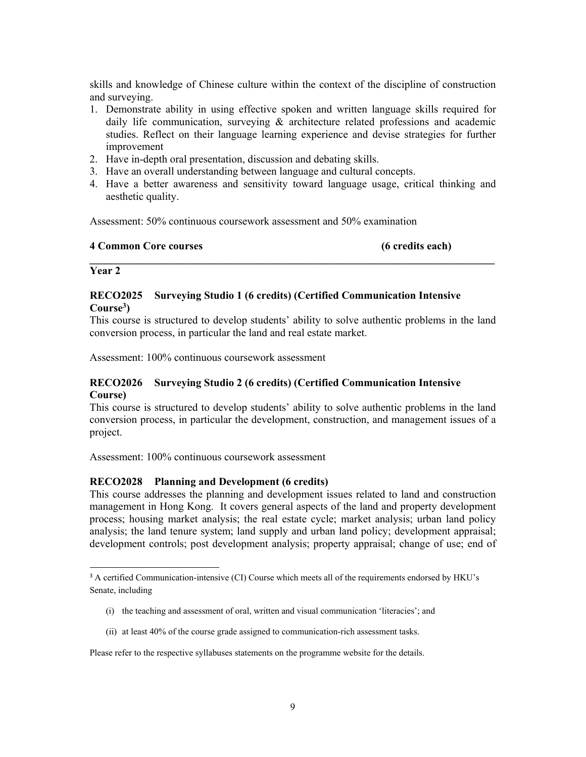skills and knowledge of Chinese culture within the context of the discipline of construction and surveying.

- studies. Reflect on their language learning experience and devise strategies for further 1. Demonstrate ability in using effective spoken and written language skills required for daily life communication, surveying & architecture related professions and academic improvement
- 2. Have in-depth oral presentation, discussion and debating skills.
- 3. Have an overall understanding between language and cultural concepts.
- 4. Have a better awareness and sensitivity toward language usage, critical thinking and aesthetic quality.

Assessment: 50% continuous coursework assessment and 50% examination

#### **4 Common Core courses (6 credits each)**

## **Year 2**

# **RECO2025 Surveying Studio 1 (6 credits) (Certified Communication Intensive Course3)**

 This course is structured to develop students' ability to solve authentic problems in the land conversion process, in particular the land and real estate market.

**\_\_\_\_\_\_\_\_\_\_\_\_\_\_\_\_\_\_\_\_\_\_\_\_\_\_\_\_\_\_\_\_\_\_\_\_\_\_\_\_\_\_\_\_\_\_\_\_\_\_\_\_\_\_\_\_\_\_\_\_\_\_\_\_\_\_\_\_\_\_\_\_\_\_\_** 

Assessment: 100% continuous coursework assessment

## **RECO2026 Surveying Studio 2 (6 credits) (Certified Communication Intensive Course)**

 This course is structured to develop students' ability to solve authentic problems in the land conversion process, in particular the development, construction, and management issues of a project.

Assessment: 100% continuous coursework assessment

## **RECO2028 Planning and Development (6 credits)**

 This course addresses the planning and development issues related to land and construction process; housing market analysis; the real estate cycle; market analysis; urban land policy analysis; the land tenure system; land supply and urban land policy; development appraisal; development controls; post development analysis; property appraisal; change of use; end of management in Hong Kong. It covers general aspects of the land and property development

- (i) the teaching and assessment of oral, written and visual communication 'literacies'; and
- (ii) at least 40% of the course grade assigned to communication-rich assessment tasks.

Please refer to the respective syllabuses statements on the programme website for the details.

<sup>&</sup>lt;sup>3</sup> A certified Communication-intensive (CI) Course which meets all of the requirements endorsed by HKU's Senate, including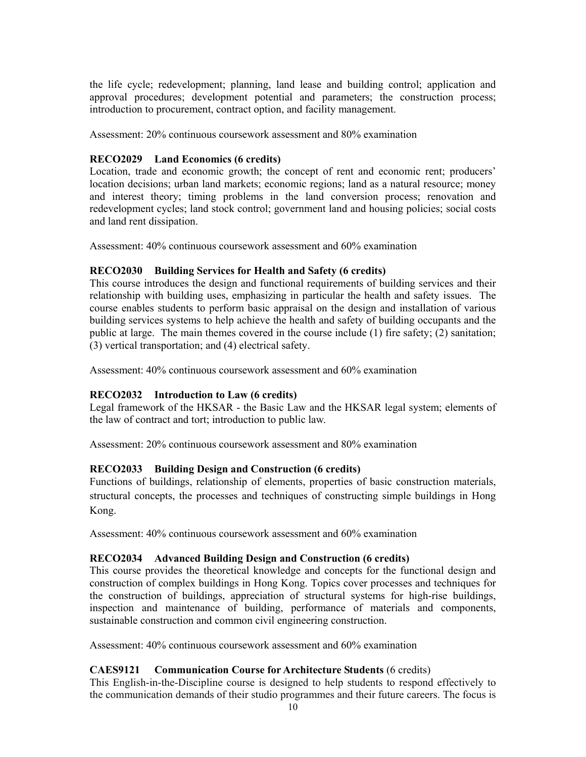the life cycle; redevelopment; planning, land lease and building control; application and approval procedures; development potential and parameters; the construction process; introduction to procurement, contract option, and facility management.

Assessment: 20% continuous coursework assessment and 80% examination

# **RECO2029 Land Economics (6 credits)**

 Location, trade and economic growth; the concept of rent and economic rent; producers' location decisions; urban land markets; economic regions; land as a natural resource; money and interest theory; timing problems in the land conversion process; renovation and redevelopment cycles; land stock control; government land and housing policies; social costs and land rent dissipation.

Assessment: 40% continuous coursework assessment and 60% examination

# **RECO2030 Building Services for Health and Safety (6 credits)**

 relationship with building uses, emphasizing in particular the health and safety issues. The course enables students to perform basic appraisal on the design and installation of various building services systems to help achieve the health and safety of building occupants and the public at large. The main themes covered in the course include (1) fire safety; (2) sanitation; This course introduces the design and functional requirements of building services and their (3) vertical transportation; and (4) electrical safety.

Assessment: 40% continuous coursework assessment and 60% examination

# **RECO2032 Introduction to Law (6 credits)**

 the law of contract and tort; introduction to public law. Legal framework of the HKSAR - the Basic Law and the HKSAR legal system; elements of

Assessment: 20% continuous coursework assessment and 80% examination

# **RECO2033 Building Design and Construction (6 credits)**

Functions of buildings, relationship of elements, properties of basic construction materials, structural concepts, the processes and techniques of constructing simple buildings in Hong Kong.

Assessment: 40% continuous coursework assessment and 60% examination

# **RECO2034 Advanced Building Design and Construction (6 credits)**

 This course provides the theoretical knowledge and concepts for the functional design and construction of complex buildings in Hong Kong. Topics cover processes and techniques for the construction of buildings, appreciation of structural systems for high-rise buildings, inspection and maintenance of building, performance of materials and components, sustainable construction and common civil engineering construction.

Assessment: 40% continuous coursework assessment and 60% examination

# **CAES9121 Communication Course for Architecture Students** (6 credits)

 This English-in-the-Discipline course is designed to help students to respond effectively to the communication demands of their studio programmes and their future careers. The focus is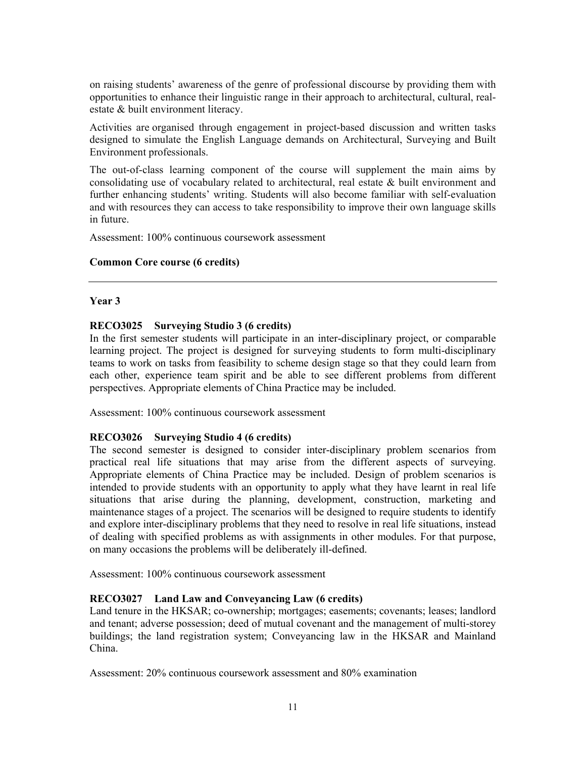on raising students' awareness of the genre of professional discourse by providing them with opportunities to enhance their linguistic range in their approach to architectural, cultural, realestate & built environment literacy.

Activities are organised through engagement in project-based discussion and written tasks designed to simulate the English Language demands on Architectural, Surveying and Built Environment professionals.

 The out-of-class learning component of the course will supplement the main aims by consolidating use of vocabulary related to architectural, real estate & built environment and and with resources they can access to take responsibility to improve their own language skills further enhancing students' writing. Students will also become familiar with self-evaluation in future.

Assessment: 100% continuous coursework assessment

## **Common Core course (6 credits)**

## **Year 3**

## **RECO3025 Surveying Studio 3 (6 credits)**

 In the first semester students will participate in an inter-disciplinary project, or comparable learning project. The project is designed for surveying students to form multi-disciplinary teams to work on tasks from feasibility to scheme design stage so that they could learn from each other, experience team spirit and be able to see different problems from different perspectives. Appropriate elements of China Practice may be included.

Assessment: 100% continuous coursework assessment

## **RECO3026 Surveying Studio 4 (6 credits)**

 The second semester is designed to consider inter-disciplinary problem scenarios from practical real life situations that may arise from the different aspects of surveying. intended to provide students with an opportunity to apply what they have learnt in real life and explore inter-disciplinary problems that they need to resolve in real life situations, instead of dealing with specified problems as with assignments in other modules. For that purpose, on many occasions the problems will be deliberately ill-defined. Appropriate elements of China Practice may be included. Design of problem scenarios is situations that arise during the planning, development, construction, marketing and maintenance stages of a project. The scenarios will be designed to require students to identify

Assessment: 100% continuous coursework assessment

## **RECO3027 Land Law and Conveyancing Law (6 credits)**

 Land tenure in the HKSAR; co-ownership; mortgages; easements; covenants; leases; landlord and tenant; adverse possession; deed of mutual covenant and the management of multi-storey buildings; the land registration system; Conveyancing law in the HKSAR and Mainland China.

Assessment: 20% continuous coursework assessment and 80% examination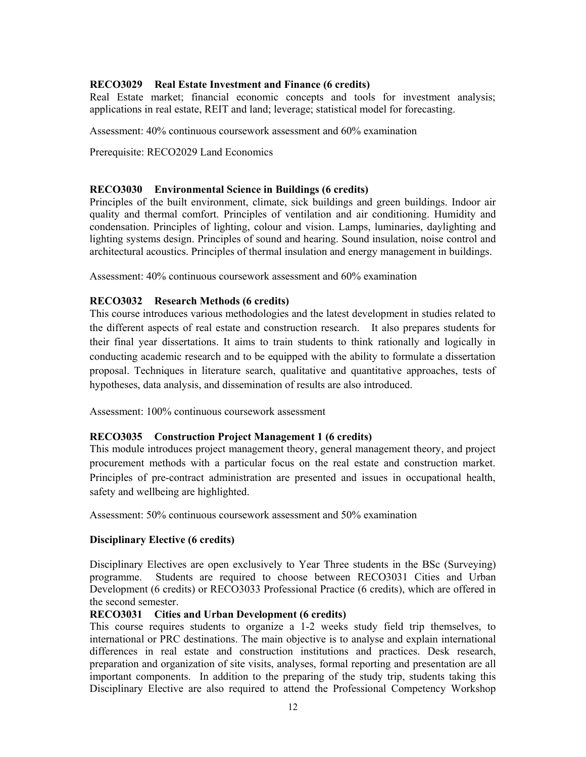## **RECO3029 Real Estate Investment and Finance (6 credits)**

 Real Estate market; financial economic concepts and tools for investment analysis; applications in real estate, REIT and land; leverage; statistical model for forecasting.

Assessment: 40% continuous coursework assessment and 60% examination

Prerequisite: RECO2029 Land Economics

## **RECO3030 Environmental Science in Buildings (6 credits)**

 Principles of the built environment, climate, sick buildings and green buildings. Indoor air quality and thermal comfort. Principles of ventilation and air conditioning. Humidity and condensation. Principles of lighting, colour and vision. Lamps, luminaries, daylighting and lighting systems design. Principles of sound and hearing. Sound insulation, noise control and architectural acoustics. Principles of thermal insulation and energy management in buildings.

Assessment: 40% continuous coursework assessment and 60% examination

# **RECO3032 Research Methods (6 credits)**

 This course introduces various methodologies and the latest development in studies related to the different aspects of real estate and construction research. It also prepares students for their final year dissertations. It aims to train students to think rationally and logically in conducting academic research and to be equipped with the ability to formulate a dissertation proposal. Techniques in literature search, qualitative and quantitative approaches, tests of hypotheses, data analysis, and dissemination of results are also introduced.

Assessment: 100% continuous coursework assessment

## **RECO3035 Construction Project Management 1 (6 credits)**

 This module introduces project management theory, general management theory, and project procurement methods with a particular focus on the real estate and construction market. Principles of pre-contract administration are presented and issues in occupational health, safety and wellbeing are highlighted.

Assessment: 50% continuous coursework assessment and 50% examination

## **Disciplinary Elective (6 credits)**

 Disciplinary Electives are open exclusively to Year Three students in the BSc (Surveying) programme. Students are required to choose between RECO3031 Cities and Urban Development (6 credits) or RECO3033 Professional Practice (6 credits), which are offered in the second semester.

# **RECO3031 Cities and Urban Development (6 credits)**

 international or PRC destinations. The main objective is to analyse and explain international differences in real estate and construction institutions and practices. Desk research, important components. In addition to the preparing of the study trip, students taking this Disciplinary Elective are also required to attend the Professional Competency Workshop This course requires students to organize a 1-2 weeks study field trip themselves, to preparation and organization of site visits, analyses, formal reporting and presentation are all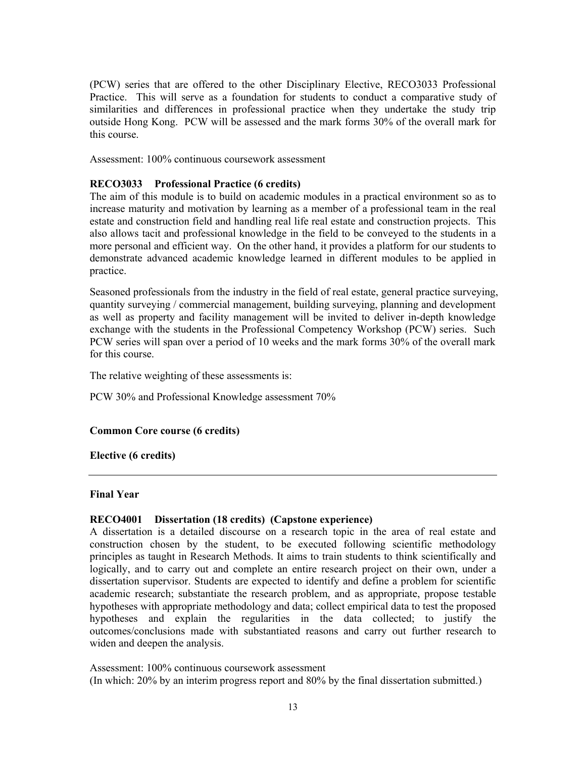Practice. This will serve as a foundation for students to conduct a comparative study of similarities and differences in professional practice when they undertake the study trip outside Hong Kong. PCW will be assessed and the mark forms 30% of the overall mark for (PCW) series that are offered to the other Disciplinary Elective, RECO3033 Professional this course.

Assessment: 100% continuous coursework assessment

# **RECO3033 Professional Practice (6 credits)**

 The aim of this module is to build on academic modules in a practical environment so as to increase maturity and motivation by learning as a member of a professional team in the real estate and construction field and handling real life real estate and construction projects. This also allows tacit and professional knowledge in the field to be conveyed to the students in a more personal and efficient way. On the other hand, it provides a platform for our students to demonstrate advanced academic knowledge learned in different modules to be applied in practice.

 Seasoned professionals from the industry in the field of real estate, general practice surveying, as well as property and facility management will be invited to deliver in-depth knowledge PCW series will span over a period of 10 weeks and the mark forms 30% of the overall mark quantity surveying / commercial management, building surveying, planning and development exchange with the students in the Professional Competency Workshop (PCW) series. Such for this course.

The relative weighting of these assessments is:

PCW 30% and Professional Knowledge assessment 70%

## **Common Core course (6 credits)**

## **Elective (6 credits)**

#### **Final Year**

## **RECO4001 Dissertation (18 credits) (Capstone experience)**

 A dissertation is a detailed discourse on a research topic in the area of real estate and construction chosen by the student, to be executed following scientific methodology principles as taught in Research Methods. It aims to train students to think scientifically and logically, and to carry out and complete an entire research project on their own, under a dissertation supervisor. Students are expected to identify and define a problem for scientific academic research; substantiate the research problem, and as appropriate, propose testable hypotheses with appropriate methodology and data; collect empirical data to test the proposed hypotheses and explain the regularities in the data collected; to justify the outcomes/conclusions made with substantiated reasons and carry out further research to widen and deepen the analysis.

 (In which: 20% by an interim progress report and 80% by the final dissertation submitted.) Assessment: 100% continuous coursework assessment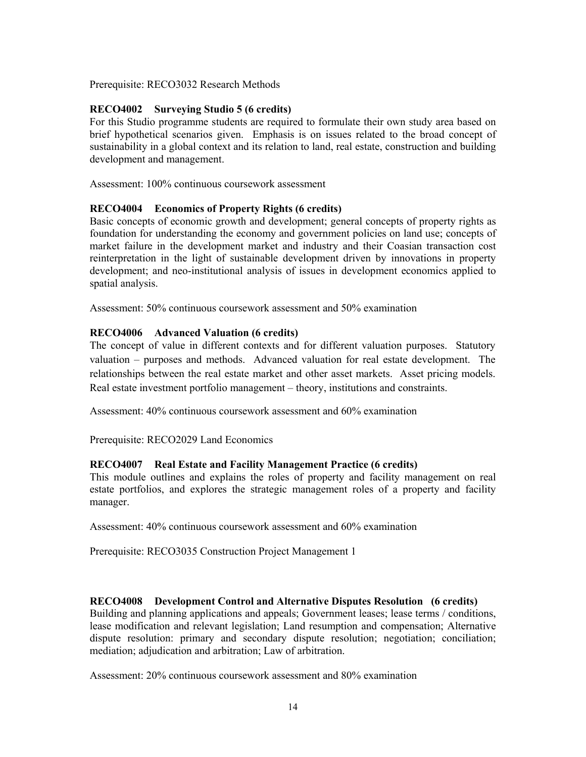Prerequisite: RECO3032 Research Methods

# **RECO4002 Surveying Studio 5 (6 credits)**

 For this Studio programme students are required to formulate their own study area based on brief hypothetical scenarios given. Emphasis is on issues related to the broad concept of sustainability in a global context and its relation to land, real estate, construction and building development and management.

Assessment: 100% continuous coursework assessment

## **RECO4004 Economics of Property Rights (6 credits)**

 Basic concepts of economic growth and development; general concepts of property rights as foundation for understanding the economy and government policies on land use; concepts of market failure in the development market and industry and their Coasian transaction cost reinterpretation in the light of sustainable development driven by innovations in property development; and neo-institutional analysis of issues in development economics applied to spatial analysis.

Assessment: 50% continuous coursework assessment and 50% examination

## **RECO4006 Advanced Valuation (6 credits)**

 The concept of value in different contexts and for different valuation purposes. Statutory valuation – purposes and methods. Advanced valuation for real estate development. The relationships between the real estate market and other asset markets. Asset pricing models. Real estate investment portfolio management – theory, institutions and constraints.

Assessment: 40% continuous coursework assessment and 60% examination

Prerequisite: RECO2029 Land Economics

## **RECO4007 Real Estate and Facility Management Practice (6 credits)**

 This module outlines and explains the roles of property and facility management on real estate portfolios, and explores the strategic management roles of a property and facility manager.

Assessment: 40% continuous coursework assessment and 60% examination

Prerequisite: RECO3035 Construction Project Management 1

## **RECO4008 Development Control and Alternative Disputes Resolution (6 credits)**

 Building and planning applications and appeals; Government leases; lease terms / conditions, lease modification and relevant legislation; Land resumption and compensation; Alternative dispute resolution: primary and secondary dispute resolution; negotiation; conciliation; mediation; adjudication and arbitration; Law of arbitration.

Assessment: 20% continuous coursework assessment and 80% examination